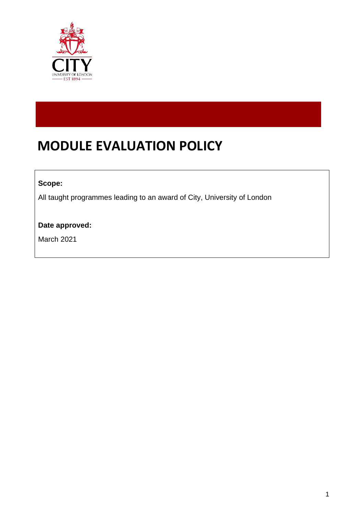

# **MODULE EVALUATION POLICY**

#### **Scope:**

All taught programmes leading to an award of City, University of London

#### **Date approved:**

March 2021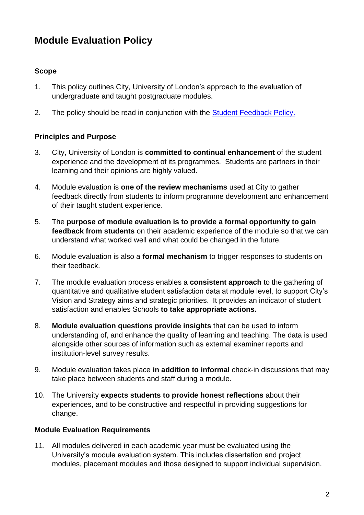## **Module Evaluation Policy**

#### **Scope**

- 1. This policy outlines City, University of London's approach to the evaluation of undergraduate and taught postgraduate modules.
- 2. The policy should be read in conjunction with the [Student Feedback Policy.](https://www.city.ac.uk/about/governance/policies/student-policies-and-regulations)

#### **Principles and Purpose**

- 3. City, University of London is **committed to continual enhancement** of the student experience and the development of its programmes. Students are partners in their learning and their opinions are highly valued.
- 4. Module evaluation is **one of the review mechanisms** used at City to gather feedback directly from students to inform programme development and enhancement of their taught student experience.
- 5. The **purpose of module evaluation is to provide a formal opportunity to gain feedback from students** on their academic experience of the module so that we can understand what worked well and what could be changed in the future.
- 6. Module evaluation is also a **formal mechanism** to trigger responses to students on their feedback.
- 7. The module evaluation process enables a **consistent approach** to the gathering of quantitative and qualitative student satisfaction data at module level, to support City's Vision and Strategy aims and strategic priorities. It provides an indicator of student satisfaction and enables Schools **to take appropriate actions.**
- 8. **Module evaluation questions provide insights** that can be used to inform understanding of, and enhance the quality of learning and teaching. The data is used alongside other sources of information such as external examiner reports and institution-level survey results.
- 9. Module evaluation takes place **in addition to informal** check-in discussions that may take place between students and staff during a module.
- 10. The University **expects students to provide honest reflections** about their experiences, and to be constructive and respectful in providing suggestions for change.

#### **Module Evaluation Requirements**

11. All modules delivered in each academic year must be evaluated using the University's module evaluation system. This includes dissertation and project modules, placement modules and those designed to support individual supervision.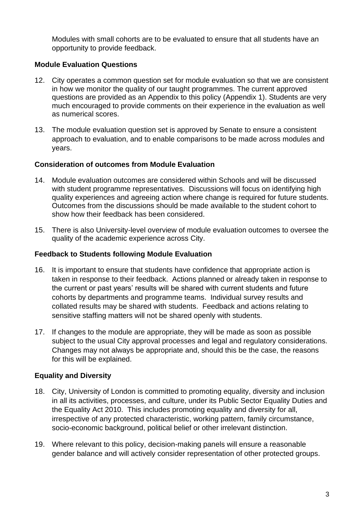Modules with small cohorts are to be evaluated to ensure that all students have an opportunity to provide feedback.

#### **Module Evaluation Questions**

- 12. City operates a common question set for module evaluation so that we are consistent in how we monitor the quality of our taught programmes. The current approved questions are provided as an Appendix to this policy (Appendix 1). Students are very much encouraged to provide comments on their experience in the evaluation as well as numerical scores.
- 13. The module evaluation question set is approved by Senate to ensure a consistent approach to evaluation, and to enable comparisons to be made across modules and years.

#### **Consideration of outcomes from Module Evaluation**

- 14. Module evaluation outcomes are considered within Schools and will be discussed with student programme representatives. Discussions will focus on identifying high quality experiences and agreeing action where change is required for future students. Outcomes from the discussions should be made available to the student cohort to show how their feedback has been considered.
- 15. There is also University-level overview of module evaluation outcomes to oversee the quality of the academic experience across City.

#### **Feedback to Students following Module Evaluation**

- 16. It is important to ensure that students have confidence that appropriate action is taken in response to their feedback. Actions planned or already taken in response to the current or past years' results will be shared with current students and future cohorts by departments and programme teams. Individual survey results and collated results may be shared with students. Feedback and actions relating to sensitive staffing matters will not be shared openly with students.
- 17. If changes to the module are appropriate, they will be made as soon as possible subject to the usual City approval processes and legal and regulatory considerations. Changes may not always be appropriate and, should this be the case, the reasons for this will be explained.

#### **Equality and Diversity**

- 18. City, University of London is committed to promoting equality, diversity and inclusion in all its activities, processes, and culture, under its Public Sector Equality Duties and the Equality Act 2010. This includes promoting equality and diversity for all, irrespective of any protected characteristic, working pattern, family circumstance, socio-economic background, political belief or other irrelevant distinction.
- 19. Where relevant to this policy, decision-making panels will ensure a reasonable gender balance and will actively consider representation of other protected groups.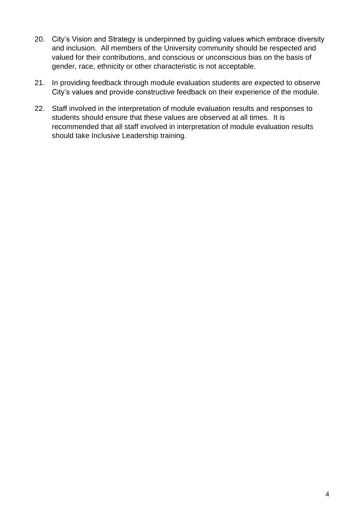- 20. City's Vision and Strategy is underpinned by guiding values which embrace diversity and inclusion. All members of the University community should be respected and valued for their contributions, and conscious or unconscious bias on the basis of gender, race, ethnicity or other characteristic is not acceptable.
- 21. In providing feedback through module evaluation students are expected to observe City's values and provide constructive feedback on their experience of the module.
- 22. Staff involved in the interpretation of module evaluation results and responses to students should ensure that these values are observed at all times. It is recommended that all staff involved in interpretation of module evaluation results should take Inclusive Leadership training.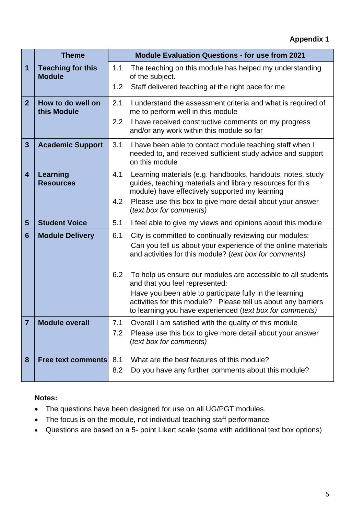|                         | <b>Theme</b>                              | <b>Module Evaluation Questions - for use from 2021</b> |                                                                                                                                                                                      |
|-------------------------|-------------------------------------------|--------------------------------------------------------|--------------------------------------------------------------------------------------------------------------------------------------------------------------------------------------|
| 1                       | <b>Teaching for this</b><br><b>Module</b> | 1.1                                                    | The teaching on this module has helped my understanding<br>of the subject.                                                                                                           |
|                         |                                           | 1.2                                                    | Staff delivered teaching at the right pace for me                                                                                                                                    |
| $\overline{2}$          | How to do well on<br>this Module          | 2.1                                                    | I understand the assessment criteria and what is required of<br>me to perform well in this module                                                                                    |
|                         |                                           | 2.2                                                    | I have received constructive comments on my progress<br>and/or any work within this module so far                                                                                    |
| $\overline{\mathbf{3}}$ | <b>Academic Support</b>                   | 3.1                                                    | I have been able to contact module teaching staff when I<br>needed to, and received sufficient study advice and support<br>on this module                                            |
| $\overline{\mathbf{4}}$ | <b>Learning</b><br><b>Resources</b>       | 4.1                                                    | Learning materials (e.g. handbooks, handouts, notes, study<br>guides, teaching materials and library resources for this<br>module) have effectively supported my learning            |
|                         |                                           | 4.2                                                    | Please use this box to give more detail about your answer<br>(text box for comments)                                                                                                 |
| 5                       | <b>Student Voice</b>                      | 5.1                                                    | I feel able to give my views and opinions about this module                                                                                                                          |
| 6                       | <b>Module Delivery</b>                    | 6.1                                                    | City is committed to continually reviewing our modules:                                                                                                                              |
|                         |                                           |                                                        | Can you tell us about your experience of the online materials<br>and activities for this module? (text box for comments)                                                             |
|                         |                                           | 6.2                                                    | To help us ensure our modules are accessible to all students<br>and that you feel represented:                                                                                       |
|                         |                                           |                                                        | Have you been able to participate fully in the learning<br>activities for this module? Please tell us about any barriers<br>to learning you have experienced (text box for comments) |
|                         | <b>Module overall</b>                     |                                                        | 7.1 Overall I am satisfied with the quality of this module                                                                                                                           |
|                         |                                           | 7.2                                                    | Please use this box to give more detail about your answer<br>(text box for comments)                                                                                                 |
| 8                       | <b>Free text comments</b>                 | 8.1                                                    | What are the best features of this module?                                                                                                                                           |
|                         |                                           | 8.2                                                    | Do you have any further comments about this module?                                                                                                                                  |

#### **Notes:**

- The questions have been designed for use on all UG/PGT modules.
- The focus is on the module, not individual teaching staff performance
- Questions are based on a 5- point Likert scale (some with additional text box options)